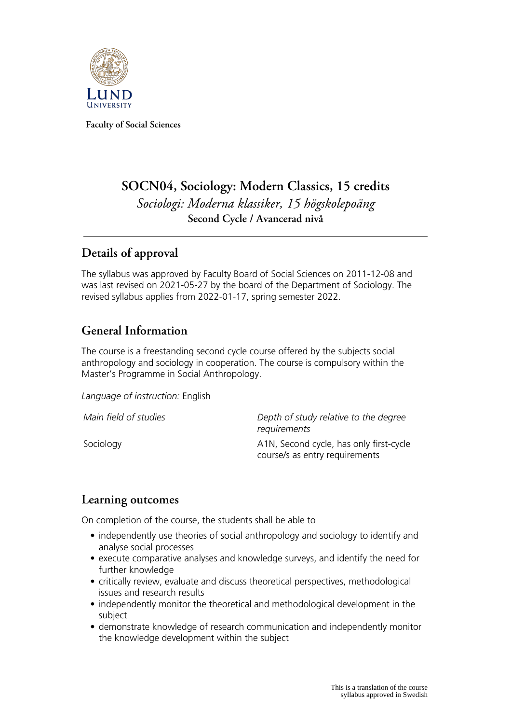

**Faculty of Social Sciences**

# **SOCN04, Sociology: Modern Classics, 15 credits** *Sociologi: Moderna klassiker, 15 högskolepoäng* **Second Cycle / Avancerad nivå**

## **Details of approval**

The syllabus was approved by Faculty Board of Social Sciences on 2011-12-08 and was last revised on 2021-05-27 by the board of the Department of Sociology. The revised syllabus applies from 2022-01-17, spring semester 2022.

## **General Information**

The course is a freestanding second cycle course offered by the subjects social anthropology and sociology in cooperation. The course is compulsory within the Master's Programme in Social Anthropology.

*Language of instruction:* English

*Main field of studies Depth of study relative to the degree requirements*

Sociology **A1N, Second cycle, has only first-cycle** course/s as entry requirements

### **Learning outcomes**

On completion of the course, the students shall be able to

- independently use theories of social anthropology and sociology to identify and analyse social processes
- execute comparative analyses and knowledge surveys, and identify the need for further knowledge
- critically review, evaluate and discuss theoretical perspectives, methodological issues and research results
- independently monitor the theoretical and methodological development in the subject
- demonstrate knowledge of research communication and independently monitor the knowledge development within the subject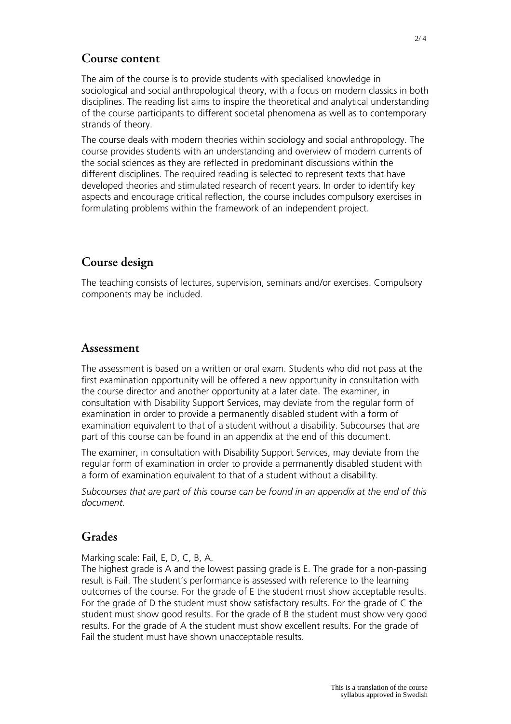### **Course content**

The aim of the course is to provide students with specialised knowledge in sociological and social anthropological theory, with a focus on modern classics in both disciplines. The reading list aims to inspire the theoretical and analytical understanding of the course participants to different societal phenomena as well as to contemporary strands of theory.

The course deals with modern theories within sociology and social anthropology. The course provides students with an understanding and overview of modern currents of the social sciences as they are reflected in predominant discussions within the different disciplines. The required reading is selected to represent texts that have developed theories and stimulated research of recent years. In order to identify key aspects and encourage critical reflection, the course includes compulsory exercises in formulating problems within the framework of an independent project.

### **Course design**

The teaching consists of lectures, supervision, seminars and/or exercises. Compulsory components may be included.

#### **Assessment**

The assessment is based on a written or oral exam. Students who did not pass at the first examination opportunity will be offered a new opportunity in consultation with the course director and another opportunity at a later date. The examiner, in consultation with Disability Support Services, may deviate from the regular form of examination in order to provide a permanently disabled student with a form of examination equivalent to that of a student without a disability. Subcourses that are part of this course can be found in an appendix at the end of this document.

The examiner, in consultation with Disability Support Services, may deviate from the regular form of examination in order to provide a permanently disabled student with a form of examination equivalent to that of a student without a disability.

*Subcourses that are part of this course can be found in an appendix at the end of this document.*

### **Grades**

Marking scale: Fail, E, D, C, B, A.

The highest grade is A and the lowest passing grade is E. The grade for a non-passing result is Fail. The student's performance is assessed with reference to the learning outcomes of the course. For the grade of E the student must show acceptable results. For the grade of D the student must show satisfactory results. For the grade of C the student must show good results. For the grade of B the student must show very good results. For the grade of A the student must show excellent results. For the grade of Fail the student must have shown unacceptable results.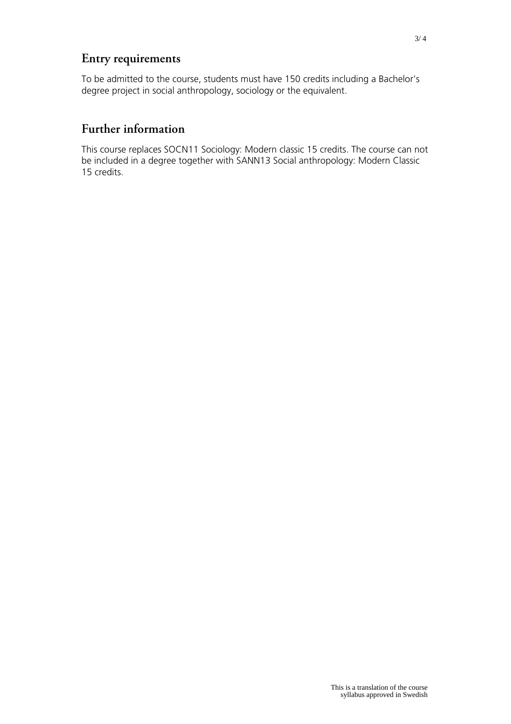## **Entry requirements**

To be admitted to the course, students must have 150 credits including a Bachelor's degree project in social anthropology, sociology or the equivalent.

### **Further information**

This course replaces SOCN11 Sociology: Modern classic 15 credits. The course can not be included in a degree together with SANN13 Social anthropology: Modern Classic 15 credits.